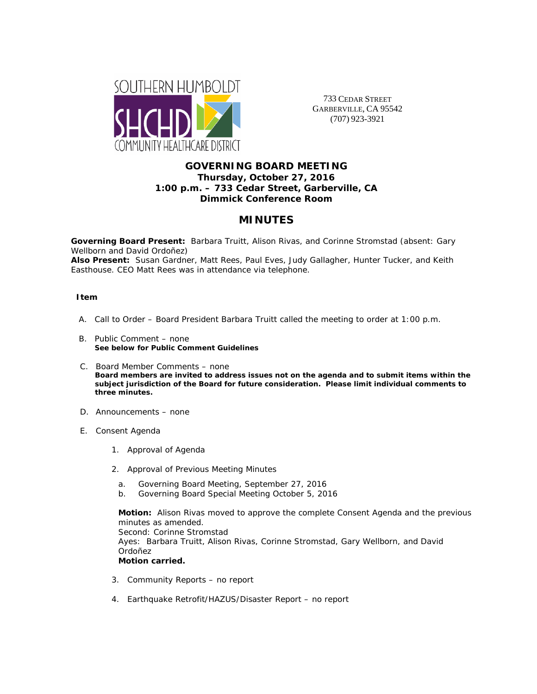

733 CEDAR STREET GARBERVILLE, CA 95542 (707) 923-3921

## **GOVERNING BOARD MEETING Thursday, October 27, 2016 1:00 p.m. – 733 Cedar Street, Garberville, CA Dimmick Conference Room**

# **MINUTES**

**Governing Board Present:** Barbara Truitt, Alison Rivas, and Corinne Stromstad (absent: Gary Wellborn and David Ordoñez)

**Also Present:** Susan Gardner, Matt Rees, Paul Eves, Judy Gallagher, Hunter Tucker, and Keith Easthouse. CEO Matt Rees was in attendance via telephone.

#### **Item**

- A. Call to Order Board President Barbara Truitt called the meeting to order at 1:00 p.m.
- B. Public Comment none **See below for Public Comment Guidelines**
- C. Board Member Comments none **Board members are invited to address issues not on the agenda and to submit items within the subject jurisdiction of the Board for future consideration. Please limit individual comments to three minutes.**
- D. Announcements none
- E. Consent Agenda
	- 1. Approval of Agenda
	- 2. Approval of Previous Meeting Minutes
		- a. Governing Board Meeting, September 27, 2016
		- b. Governing Board Special Meeting October 5, 2016

**Motion:** Alison Rivas moved to approve the complete Consent Agenda and the previous minutes as amended. Second: Corinne Stromstad Ayes: Barbara Truitt, Alison Rivas, Corinne Stromstad, Gary Wellborn, and David Ordoñez **Motion carried.** 

- 3. Community Reports no report
- 4. Earthquake Retrofit/HAZUS/Disaster Report no report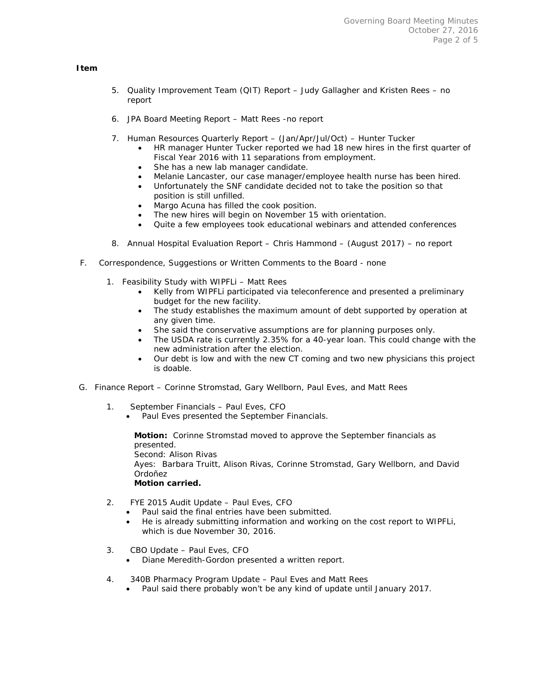### **Item**

- 5. Quality Improvement Team (QIT) Report Judy Gallagher and Kristen Rees no report
- 6. JPA Board Meeting Report Matt Rees -no report
- 7. Human Resources Quarterly Report (Jan/Apr/Jul/Oct) Hunter Tucker
	- HR manager Hunter Tucker reported we had 18 new hires in the first quarter of Fiscal Year 2016 with 11 separations from employment.
	- She has a new lab manager candidate.
	- Melanie Lancaster, our case manager/employee health nurse has been hired.
	- Unfortunately the SNF candidate decided not to take the position so that position is still unfilled.
	- Margo Acuna has filled the cook position.
	- The new hires will begin on November 15 with orientation.
	- Quite a few employees took educational webinars and attended conferences
- 8. Annual Hospital Evaluation Report Chris Hammond (August 2017) no report
- F. Correspondence, Suggestions or Written Comments to the Board none
	- 1. Feasibility Study with WIPFLi Matt Rees
		- Kelly from WIPFLi participated via teleconference and presented a preliminary budget for the new facility.
		- The study establishes the maximum amount of debt supported by operation at any given time.
		- She said the conservative assumptions are for planning purposes only.
		- The USDA rate is currently 2.35% for a 40-year loan. This could change with the new administration after the election.
		- Our debt is low and with the new CT coming and two new physicians this project is doable.
- G. Finance Report Corinne Stromstad, Gary Wellborn, Paul Eves, and Matt Rees
	- 1. September Financials Paul Eves, CFO
		- Paul Eves presented the September Financials.

**Motion:** Corinne Stromstad moved to approve the September financials as presented. Second: Alison Rivas Ayes: Barbara Truitt, Alison Rivas, Corinne Stromstad, Gary Wellborn, and David Ordoñez

- **Motion carried.**
- 2. FYE 2015 Audit Update Paul Eves, CFO
	- Paul said the final entries have been submitted.
	- He is already submitting information and working on the cost report to WIPFLi, which is due November 30, 2016.
- 3. CBO Update Paul Eves, CFO
	- Diane Meredith-Gordon presented a written report.
- 4. 340B Pharmacy Program Update Paul Eves and Matt Rees
	- Paul said there probably won't be any kind of update until January 2017.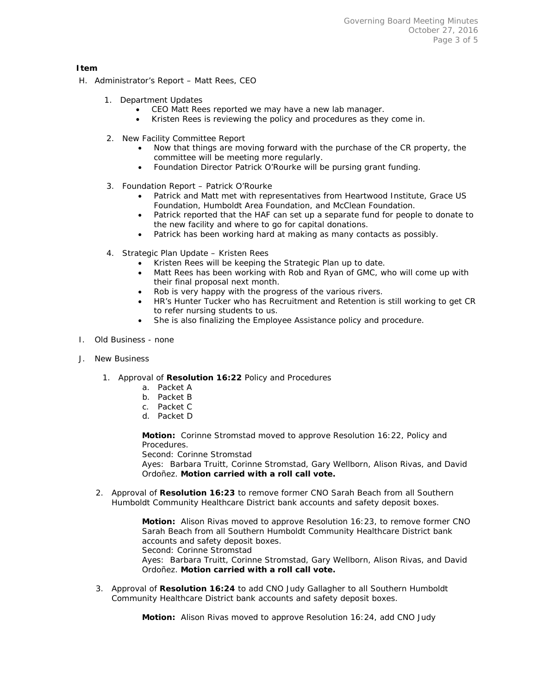#### **Item**

- H. Administrator's Report Matt Rees, CEO
	- 1. Department Updates
		- CEO Matt Rees reported we may have a new lab manager.
		- Kristen Rees is reviewing the policy and procedures as they come in.
	- 2. New Facility Committee Report
		- Now that things are moving forward with the purchase of the CR property, the committee will be meeting more regularly.
		- Foundation Director Patrick O'Rourke will be pursing grant funding.
	- 3. Foundation Report Patrick O'Rourke
		- Patrick and Matt met with representatives from Heartwood Institute, Grace US Foundation, Humboldt Area Foundation, and McClean Foundation.
		- Patrick reported that the HAF can set up a separate fund for people to donate to the new facility and where to go for capital donations.
		- Patrick has been working hard at making as many contacts as possibly.
	- 4. Strategic Plan Update Kristen Rees
		- Kristen Rees will be keeping the Strategic Plan up to date.
		- Matt Rees has been working with Rob and Ryan of GMC, who will come up with their final proposal next month.
		- Rob is very happy with the progress of the various rivers.
		- HR's Hunter Tucker who has Recruitment and Retention is still working to get CR to refer nursing students to us.
		- She is also finalizing the Employee Assistance policy and procedure.
- I. Old Business none
- J. New Business
	- 1. Approval of **Resolution 16:22** Policy and Procedures
		- a. Packet A
		- b. Packet B
		- c. Packet C
		- d. Packet D

**Motion:** Corinne Stromstad moved to approve Resolution 16:22, Policy and Procedures.

Second: Corinne Stromstad

Ayes: Barbara Truitt, Corinne Stromstad, Gary Wellborn, Alison Rivas, and David Ordoñez. **Motion carried with a roll call vote.** 

2. Approval of **Resolution 16:23** to remove former CNO Sarah Beach from all Southern Humboldt Community Healthcare District bank accounts and safety deposit boxes.

> **Motion:** Alison Rivas moved to approve Resolution 16:23, to remove former CNO Sarah Beach from all Southern Humboldt Community Healthcare District bank accounts and safety deposit boxes. Second: Corinne Stromstad Ayes: Barbara Truitt, Corinne Stromstad, Gary Wellborn, Alison Rivas, and David Ordoñez. **Motion carried with a roll call vote.**

3. Approval of **Resolution 16:24** to add CNO Judy Gallagher to all Southern Humboldt Community Healthcare District bank accounts and safety deposit boxes.

**Motion:** Alison Rivas moved to approve Resolution 16:24, add CNO Judy